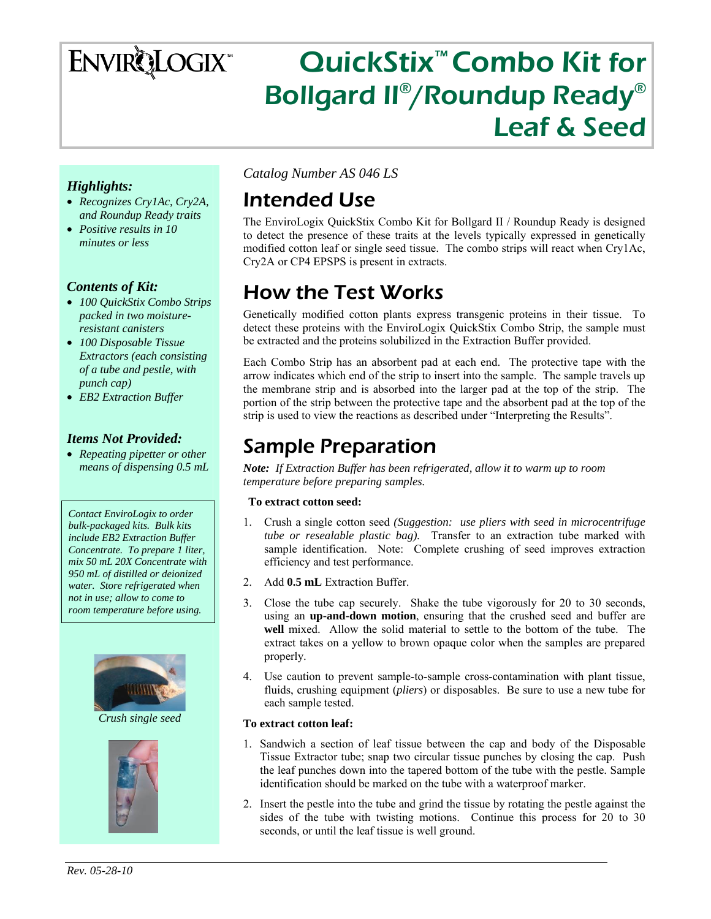# **ENVIRQLOGIX**

# QuickStix™ Combo Kit for Bollgard II®/Roundup Ready® Leaf & Seed

### *Highlights:*

- *Recognizes Cry1Ac, Cry2A, and Roundup Ready traits*
- *Positive results in 10 minutes or less*

### *Contents of Kit:*

- *100 QuickStix Combo Strips packed in two moistureresistant canisters*
- *100 Disposable Tissue Extractors (each consisting of a tube and pestle, with punch cap)*
- *EB2 Extraction Buffer*

### *Items Not Provided:*

• *Repeating pipetter or other means of dispensing 0.5 mL* 

*Contact EnviroLogix to order bulk-packaged kits. Bulk kits include EB2 Extraction Buffer Concentrate. To prepare 1 liter, mix 50 mL 20X Concentrate with 950 mL of distilled or deionized water. Store refrigerated when not in use; allow to come to room temperature before using.* 



*Crush single seed* 



*Catalog Number AS 046 LS* 

# Intended Use

The EnviroLogix QuickStix Combo Kit for Bollgard II / Roundup Ready is designed to detect the presence of these traits at the levels typically expressed in genetically modified cotton leaf or single seed tissue. The combo strips will react when Cry1Ac, Cry2A or CP4 EPSPS is present in extracts.

# How the Test Works

Genetically modified cotton plants express transgenic proteins in their tissue. To detect these proteins with the EnviroLogix QuickStix Combo Strip, the sample must be extracted and the proteins solubilized in the Extraction Buffer provided.

Each Combo Strip has an absorbent pad at each end. The protective tape with the arrow indicates which end of the strip to insert into the sample. The sample travels up the membrane strip and is absorbed into the larger pad at the top of the strip. The portion of the strip between the protective tape and the absorbent pad at the top of the strip is used to view the reactions as described under "Interpreting the Results".

# Sample Preparation

*Note: If Extraction Buffer has been refrigerated, allow it to warm up to room temperature before preparing samples.* 

#### **To extract cotton seed:**

- 1. Crush a single cotton seed *(Suggestion: use pliers with seed in microcentrifuge tube or resealable plastic bag).* Transfer to an extraction tube marked with sample identification. Note: Complete crushing of seed improves extraction efficiency and test performance.
- 2. Add **0.5 mL** Extraction Buffer.
- 3. Close the tube cap securely. Shake the tube vigorously for 20 to 30 seconds, using an **up-and-down motion**, ensuring that the crushed seed and buffer are **well** mixed. Allow the solid material to settle to the bottom of the tube. The extract takes on a yellow to brown opaque color when the samples are prepared properly.
- 4. Use caution to prevent sample-to-sample cross-contamination with plant tissue, fluids, crushing equipment (*pliers*) or disposables. Be sure to use a new tube for each sample tested.

#### **To extract cotton leaf:**

- 1. Sandwich a section of leaf tissue between the cap and body of the Disposable Tissue Extractor tube; snap two circular tissue punches by closing the cap. Push the leaf punches down into the tapered bottom of the tube with the pestle. Sample identification should be marked on the tube with a waterproof marker.
- 2. Insert the pestle into the tube and grind the tissue by rotating the pestle against the sides of the tube with twisting motions. Continue this process for 20 to 30 seconds, or until the leaf tissue is well ground.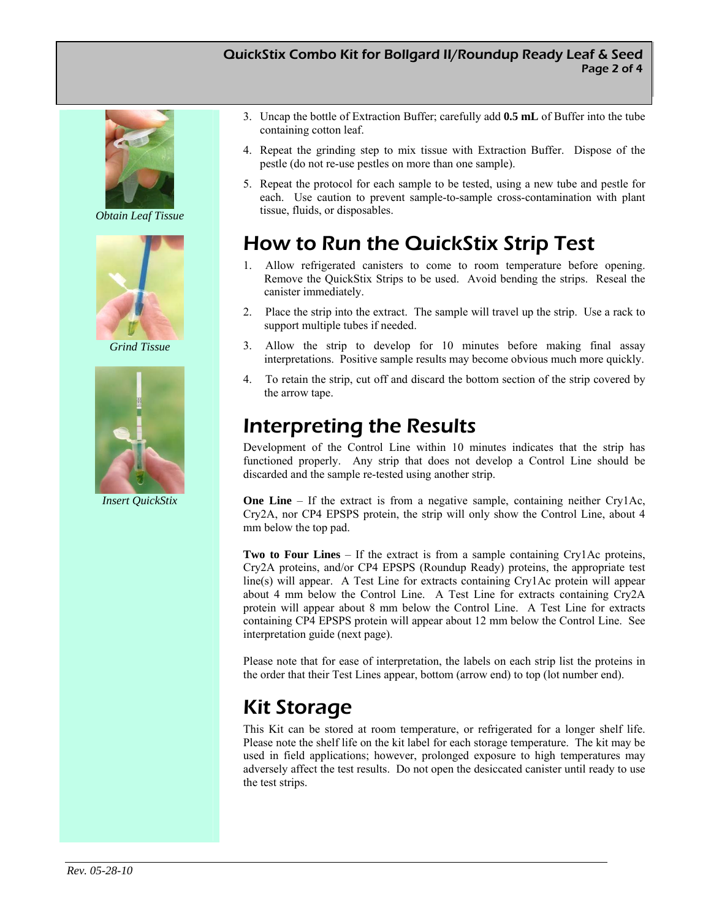### QuickStix Combo Kit for Bollgard II/Roundup Ready Leaf & Seed Page 2 of 4



*Obtain Leaf Tissue* 



*Grind Tissue* 



*Insert QuickStix* 

- 3. Uncap the bottle of Extraction Buffer; carefully add **0.5 mL** of Buffer into the tube containing cotton leaf.
- 4. Repeat the grinding step to mix tissue with Extraction Buffer. Dispose of the pestle (do not re-use pestles on more than one sample).
- 5. Repeat the protocol for each sample to be tested, using a new tube and pestle for each. Use caution to prevent sample-to-sample cross-contamination with plant tissue, fluids, or disposables.

# How to Run the QuickStix Strip Test

- 1. Allow refrigerated canisters to come to room temperature before opening. Remove the QuickStix Strips to be used. Avoid bending the strips. Reseal the canister immediately.
- 2. Place the strip into the extract. The sample will travel up the strip. Use a rack to support multiple tubes if needed.
- 3. Allow the strip to develop for 10 minutes before making final assay interpretations. Positive sample results may become obvious much more quickly.
- 4. To retain the strip, cut off and discard the bottom section of the strip covered by the arrow tape.

# Interpreting the Results

Development of the Control Line within 10 minutes indicates that the strip has functioned properly. Any strip that does not develop a Control Line should be discarded and the sample re-tested using another strip.

**One Line** – If the extract is from a negative sample, containing neither Cry1Ac, Cry2A, nor CP4 EPSPS protein, the strip will only show the Control Line, about 4 mm below the top pad.

**Two to Four Lines** – If the extract is from a sample containing Cry1Ac proteins, Cry2A proteins, and/or CP4 EPSPS (Roundup Ready) proteins, the appropriate test line(s) will appear. A Test Line for extracts containing Cry1Ac protein will appear about 4 mm below the Control Line. A Test Line for extracts containing Cry2A protein will appear about 8 mm below the Control Line. A Test Line for extracts containing CP4 EPSPS protein will appear about 12 mm below the Control Line. See interpretation guide (next page).

Please note that for ease of interpretation, the labels on each strip list the proteins in the order that their Test Lines appear, bottom (arrow end) to top (lot number end).

# Kit Storage

This Kit can be stored at room temperature, or refrigerated for a longer shelf life. Please note the shelf life on the kit label for each storage temperature. The kit may be used in field applications; however, prolonged exposure to high temperatures may adversely affect the test results. Do not open the desiccated canister until ready to use the test strips.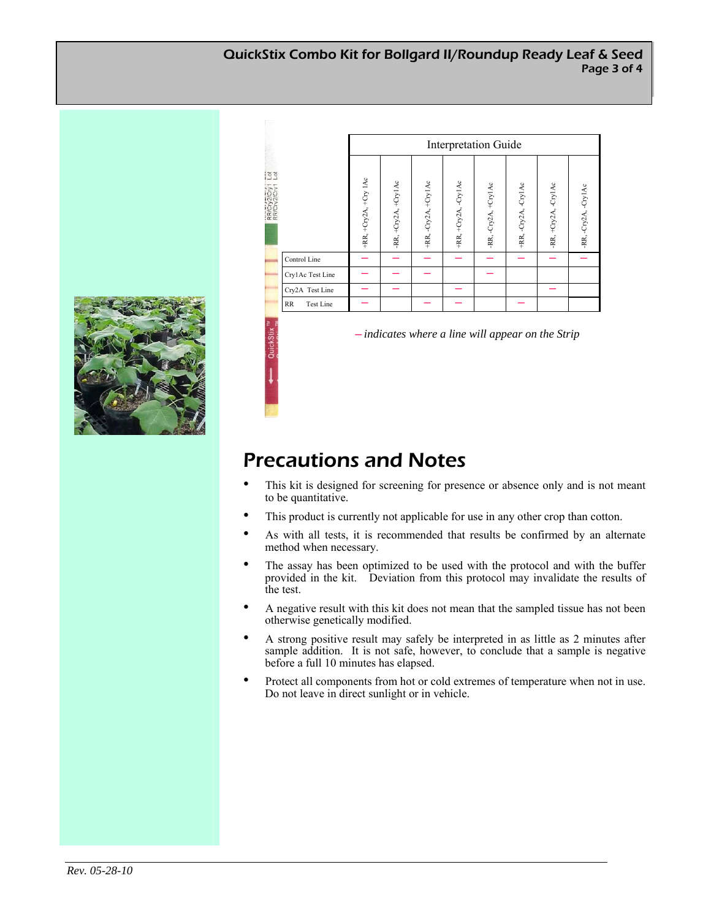

|                   |                        | <b>Interpretation Guide</b> |                      |                      |                      |                      |                      |                      |                      |
|-------------------|------------------------|-----------------------------|----------------------|----------------------|----------------------|----------------------|----------------------|----------------------|----------------------|
| 155<br>RRICHZZCN1 |                        | +RR, +Cry2A, +Cry 1Ac       | -RR, +Cry2A, +Cry1Ac | +RR, -Cry2A, +Cry1Ac | +RR, +Cry2A, -Cry1Ac | -RR, -Cry2A, +Cry1Ac | +RR, -Cry2A, -Cry1Ac | -RR, +Cry2A, -Cry1Ac | -RR, -Cry2A, -Cry1Ac |
|                   | Control Line           |                             |                      |                      |                      |                      |                      |                      |                      |
|                   | Cry1Ac Test Line       |                             |                      |                      |                      |                      |                      |                      |                      |
|                   | Cry2A Test Line        |                             |                      |                      |                      |                      |                      |                      |                      |
|                   | <b>Test Line</b><br>RR |                             |                      |                      |                      |                      |                      |                      |                      |

─ *indicates where a line will appear on the Strip*

## Precautions and Notes

- This kit is designed for screening for presence or absence only and is not meant to be quantitative.
- This product is currently not applicable for use in any other crop than cotton.
- As with all tests, it is recommended that results be confirmed by an alternate method when necessary.
- The assay has been optimized to be used with the protocol and with the buffer provided in the kit. Deviation from this protocol may invalidate the results of the test.
- A negative result with this kit does not mean that the sampled tissue has not been otherwise genetically modified.
- A strong positive result may safely be interpreted in as little as 2 minutes after sample addition. It is not safe, however, to conclude that a sample is negative before a full 10 minutes has elapsed.
- Protect all components from hot or cold extremes of temperature when not in use. Do not leave in direct sunlight or in vehicle.